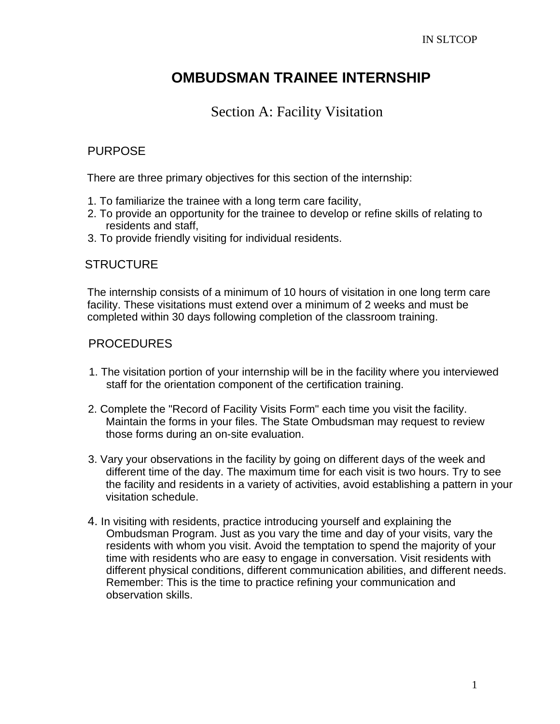## **OMBUDSMAN TRAINEE INTERNSHIP**

## Section A: Facility Visitation

### PURPOSE

There are three primary objectives for this section of the internship:

- 1. To familiarize the trainee with a long term care facility,
- 2. To provide an opportunity for the trainee to develop or refine skills of relating to residents and staff,
- 3. To provide friendly visiting for individual residents.

### **STRUCTURE**

The internship consists of a minimum of 10 hours of visitation in one long term care facility. These visitations must extend over a minimum of 2 weeks and must be completed within 30 days following completion of the classroom training.

## PROCEDURES

- 1. The visitation portion of your internship will be in the facility where you interviewed staff for the orientation component of the certification training.
- 2. Complete the "Record of Facility Visits Form" each time you visit the facility. Maintain the forms in your files. The State Ombudsman may request to review those forms during an on-site evaluation.
- 3. Vary your observations in the facility by going on different days of the week and different time of the day. The maximum time for each visit is two hours. Try to see the facility and residents in a variety of activities, avoid establishing a pattern in your visitation schedule.
- 4. In visiting with residents, practice introducing yourself and explaining the Ombudsman Program. Just as you vary the time and day of your visits, vary the residents with whom you visit. Avoid the temptation to spend the majority of your time with residents who are easy to engage in conversation. Visit residents with different physical conditions, different communication abilities, and different needs. Remember: This is the time to practice refining your communication and observation skills.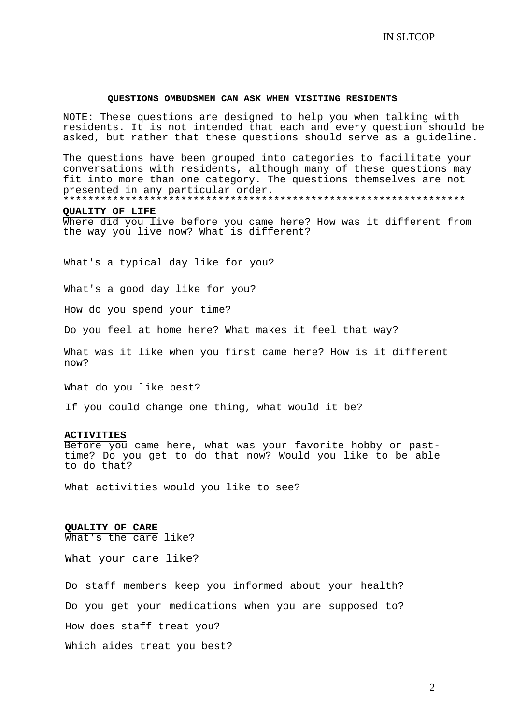#### **QUESTIONS OMBUDSMEN CAN ASK WHEN VISITING RESIDENTS**

NOTE: These questions are designed to help you when talking with residents. It is not intended that each and every question should be asked, but rather that these questions should serve as a guideline.

The questions have been grouped into categories to facilitate your conversations with residents, although many of these questions may fit into more than one category. The questions themselves are not presented in any particular order.

\*\*\*\*\*\*\*\*\*\*\*\*\*\*\*\*\*\*\*\*\*\*\*\*\*\*\*\*\*\*\*\*\*\*\*\*\*\*\*\*\*\*\*\*\*\*\*\*\*\*\*\*\*\*\*\*\*\*\*\*\*\*\*\*\*

#### **QUALITY OF LIFE**

Where did you live before you came here? How was it different from the way you live now? What is different?

What's a typical day like for you?

What's a good day like for you?

How do you spend your time?

Do you feel at home here? What makes it feel that way?

What was it like when you first came here? How is it different now?

Wh at do you like best?

If you could change one thing, what would it be?

#### **ACTIVITIES**

Before you came here, what was your favorite hobby or pasttime? Do you get to do that now? Would you like to be able to do that?

What activities would you like to see?

#### **QUALITY OF CARE**

What's the care like?

What your care like?

Do staff members keep you informed about your health? Do you get your medications when you are supposed to? How does staff treat you? Which aides treat you best?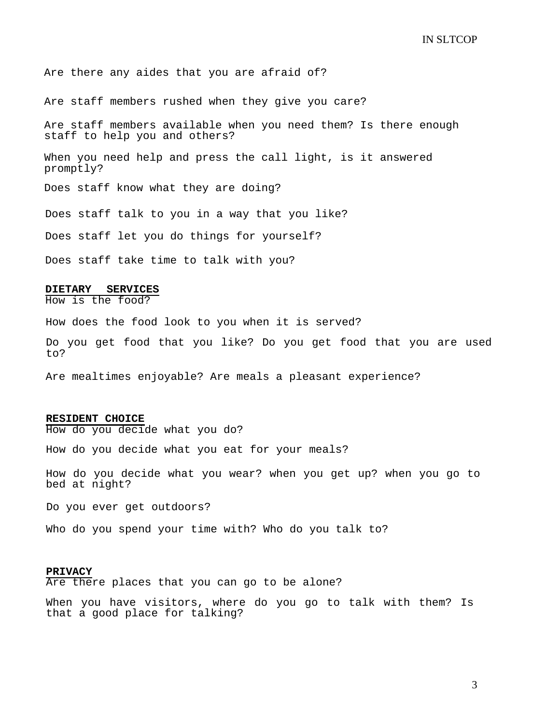Are there any aides that you are afraid of?

Are staff members rushed when they give you care?

Are staff members available when you need them? Is there enough staff to help you and others?

When you need help and press the call light, is it answered promptly?

Does staff know what they are doing?

Does staff talk to you in a way that you like?

Does staff let you do things for yourself?

Does staff take time to talk with you?

#### **DIETARY SERVICES**

How is the food?

How does the food look to you when it is served?

Do you get food that you like? Do you get food that you are used to?

Are mealtimes enjoyable? Are meals a pleasant experience?

#### **RESIDENT CHOICE**

How do you decide what you do?

How do you decide what you eat for your meals?

How do you decide what you wear? when you get up? when you go to bed at night?

Do you ever get outdoors?

Who do you spend your time with? Who do you talk to?

#### **PRIVACY**

Are there places that you can go to be alone?

When you have visitors, where do you go to talk with them? Is that a good place for talking?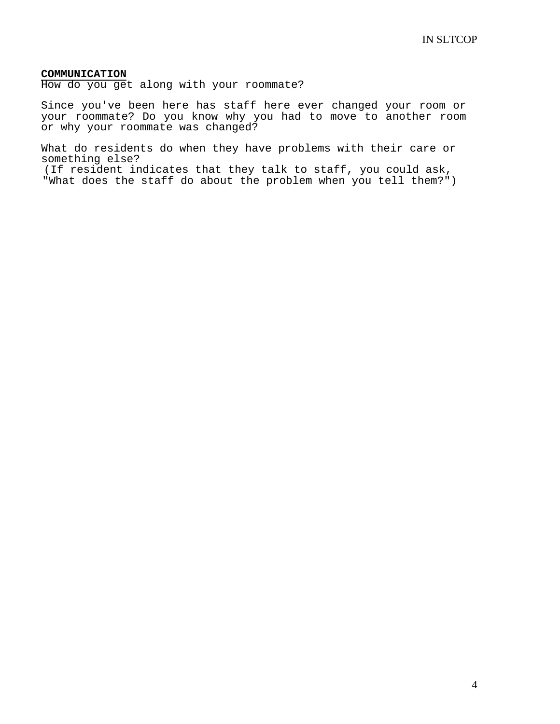#### **COMMUNICATION**

How do you get along with your roommate?

Since you've been here has staff here ever changed your room or your roommate? Do you know why you had to move to another room or why your roommate was changed?

What do residents do when they have problems with their care or something else?

(If resident indicates that they talk to staff, you could ask, "What does the staff do about the problem when you tell them?")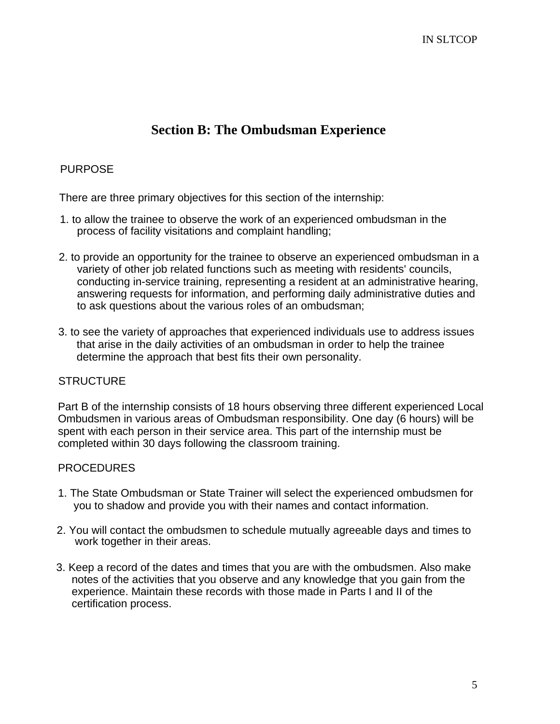## **Section B: The Ombudsman Experience**

#### PURPOSE

There are three primary objectives for this section of the internship:

- 1. to allow the trainee to observe the work of an experienced ombudsman in the process of facility visitations and complaint handling;
- 2. to provide an opportunity for the trainee to observe an experienced ombudsman in a variety of other job related functions such as meeting with residents' councils, conducting in-service training, representing a resident at an administrative hearing, answering requests for information, and performing daily administrative duties and to ask questions about the various roles of an ombudsman;
- 3. to see the variety of approaches that experienced individuals use to address issues that arise in the daily activities of an ombudsman in order to help the trainee determine the approach that best fits their own personality.

#### **STRUCTURE**

Part B of the internship consists of 18 hours observing three different experienced Local Ombudsmen in various areas of Ombudsman responsibility. One day (6 hours) will be spent with each person in their service area. This part of the internship must be completed within 30 days following the classroom training.

#### PROCEDURES

- 1. The State Ombudsman or State Trainer will select the experienced ombudsmen for you to shadow and provide you with their names and contact information.
- 2. You will contact the ombudsmen to schedule mutually agreeable days and times to work together in their areas.
- 3. Keep a record of the dates and times that you are with the ombudsmen. Also make notes of the activities that you observe and any knowledge that you gain from the experience. Maintain these records with those made in Parts I and II of the certification process.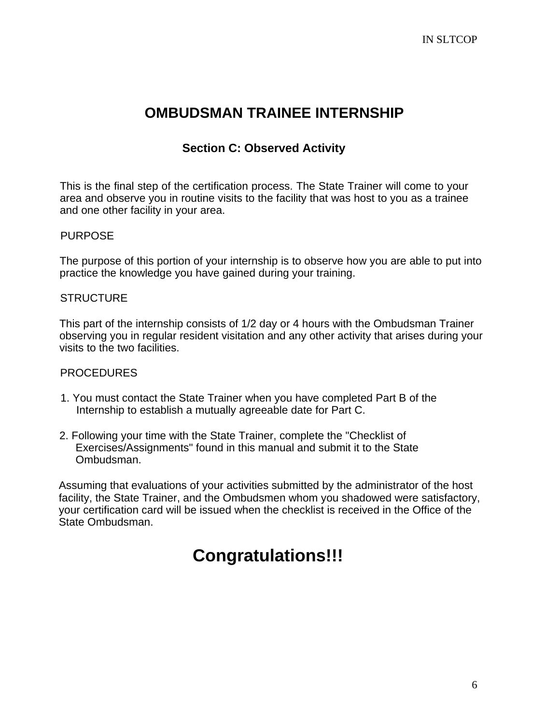## **OMBUDSMAN TRAINEE INTERNSHIP**

## **Section C: Observed Activity**

This is the final step of the certification process. The State Trainer will come to your area and observe you in routine visits to the facility that was host to you as a trainee and one other facility in your area.

#### PURPOSE

The purpose of this portion of your internship is to observe how you are able to put into practice the knowledge you have gained during your training.

#### **STRUCTURE**

This part of the internship consists of 1/2 day or 4 hours with the Ombudsman Trainer observing you in regular resident visitation and any other activity that arises during your visits to the two facilities.

#### **PROCEDURES**

- 1. You must contact the State Trainer when you have completed Part B of the Internship to establish a mutually agreeable date for Part C.
- 2. Following your time with the State Trainer, complete the "Checklist of Exercises/Assignments" found in this manual and submit it to the State Ombudsman.

Assuming that evaluations of your activities submitted by the administrator of the host facility, the State Trainer, and the Ombudsmen whom you shadowed were satisfactory, your certification card will be issued when the checklist is received in the Office of the State Ombudsman.

# **Congratulations!!!**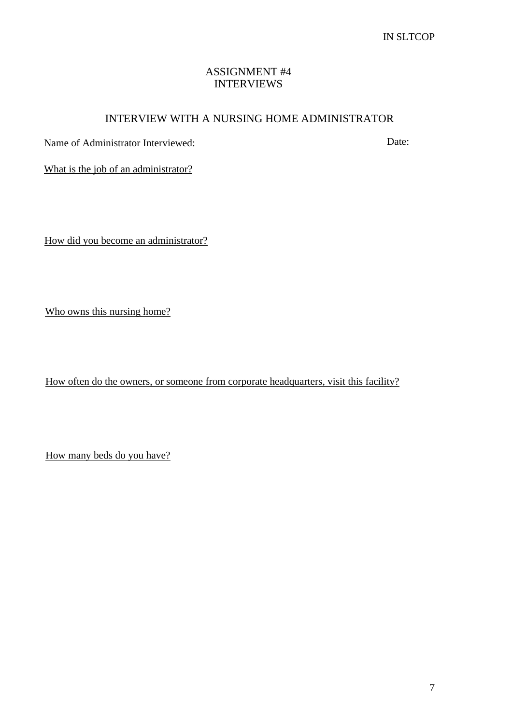### ASSIGNMENT #4 INTERVIEWS

### INTERVIEW WITH A NURSING HOME ADMINISTRATOR

Name of Administrator Interviewed: Date:

What is the job of an administrator?

How did you become an administrator?

Who owns this nursing home?

How often do the owners, or someone from corporate headquarters, visit this facility?

How many beds do you have?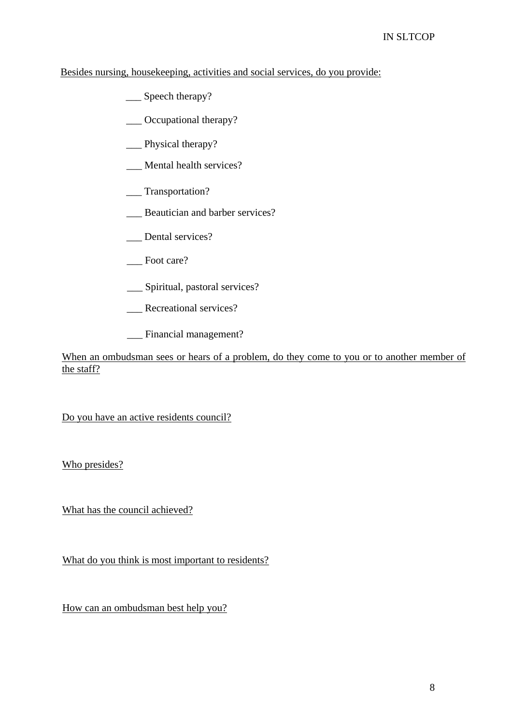#### Besides nursing, housekeeping, activities and social services, do you provide:

- \_\_\_ Speech therapy?
- \_\_\_ Occupational therapy?
- \_\_\_ Physical therapy?
- \_\_\_ Mental health services?
- \_\_\_ Transportation?
- \_\_\_ Beautician and barber services?
- \_\_\_ Dental services?
- \_\_\_ Foot care?
- \_\_\_ Spiritual, pastoral services?
- Recreational services?
- Financial management?

When an ombudsman sees or hears of a problem, do they come to you or to another member of the staff?

Do you have an active residents council?

Who presides?

What has the council achieved?

What do you think is most important to residents?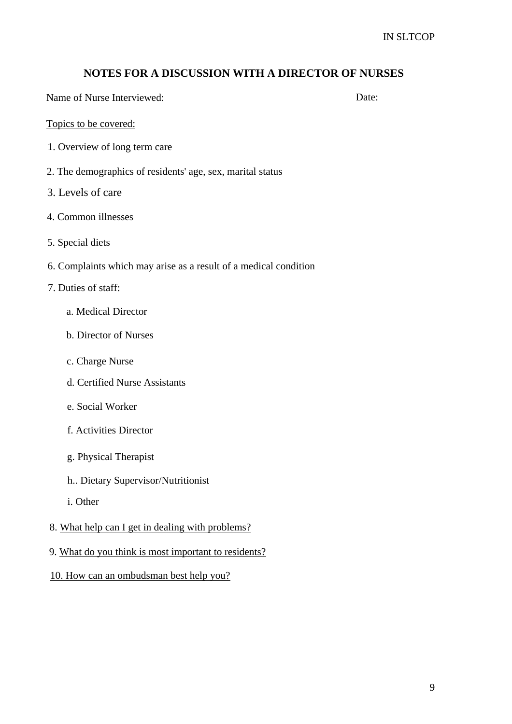#### **NOTES FOR A DISCUSSION WITH A DIRECTOR OF NURSES**

Name of Nurse Interviewed: Date:

#### Topics to be covered:

- 1. Overview of long term care
- 2. The demographics of residents' age, sex, marital status
- 3. Levels of care
- 4. Common illnesses
- 5. Special diets
- 6. Complaints which may arise as a result of a medical condition
- 7. Duties of staff:
	- a. Medical Director
	- b. Director of Nurses
	- c. Charge Nurse
	- d. Certified Nurse Assistants
	- e. Social Worker
	- f. Activities Director
	- g. Physical Therapist
	- h.. Dietary Supervisor/Nutritionist
	- i. Other
- 8. What help can I get in dealing with problems?
- 9. What do you think is most important to residents?
- 10. How can an ombudsman best help you?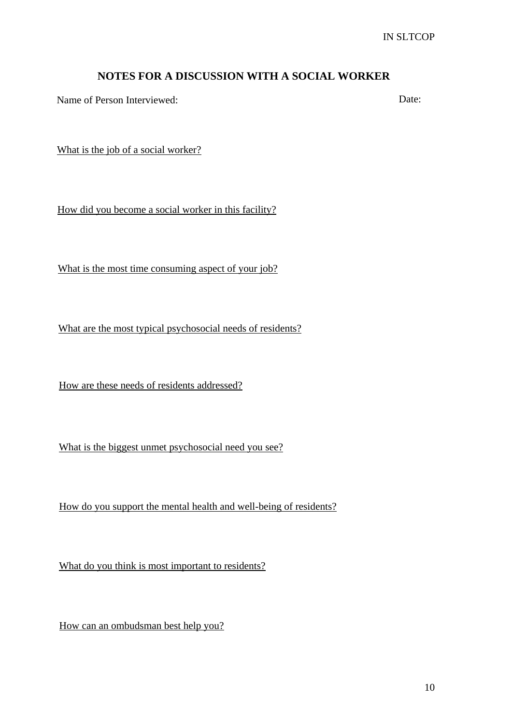### **NOTES FOR A DISCUSSION WITH A SOCIAL WORKER**

Name of Person Interviewed: Date:

What is the job of a social worker?

How did you become a social worker in this facility?

What is the most time consuming aspect of your job?

What are the most typical psychosocial needs of residents?

How are these needs of residents addressed?

What is the biggest unmet psychosocial need you see?

How do you support the mental health and well-being of residents?

What do you think is most important to residents?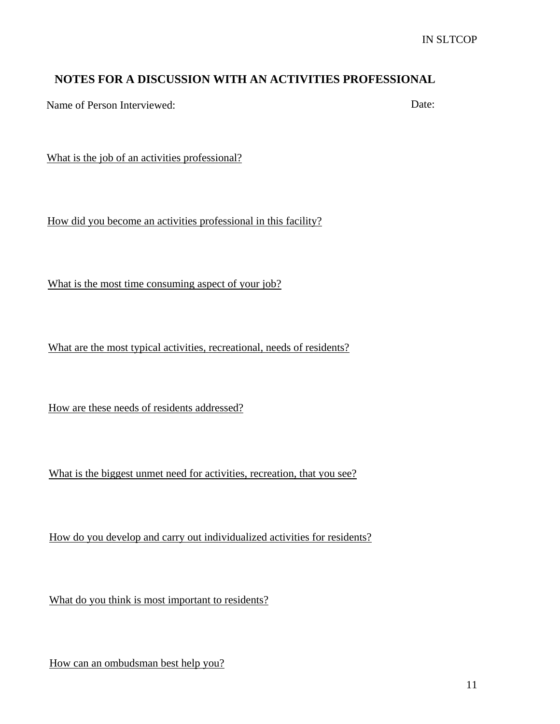### **NOTES FOR A DISCUSSION WITH AN ACTIVITIES PROFESSIONAL**

Name of Person Interviewed: Date:

What is the job of an activities professional?

How did you become an activities professional in this facility?

What is the most time consuming aspect of your job?

What are the most typical activities, recreational, needs of residents?

How are these needs of residents addressed?

What is the biggest unmet need for activities, recreation, that you see?

How do you develop and carry out individualized activities for residents?

What do you think is most important to residents?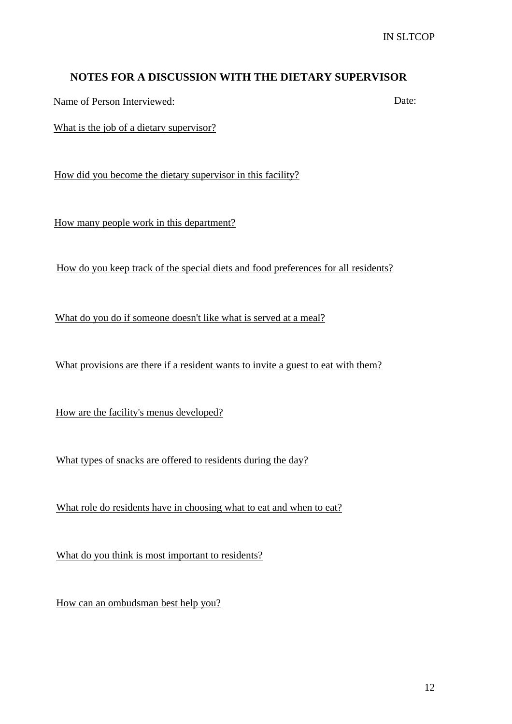### **NOTES FOR A DISCUSSION WITH THE DIETARY SUPERVISOR**

Name of Person Interviewed: Date:

What is the job of a dietary supervisor?

How did you become the dietary supervisor in this facility?

How many people work in this department?

How do you keep track of the special diets and food preferences for all residents?

What do you do if someone doesn't like what is served at a meal?

What provisions are there if a resident wants to invite a guest to eat with them?

How are the facility's menus developed?

What types of snacks are offered to residents during the day?

What role do residents have in choosing what to eat and when to eat?

What do you think is most important to residents?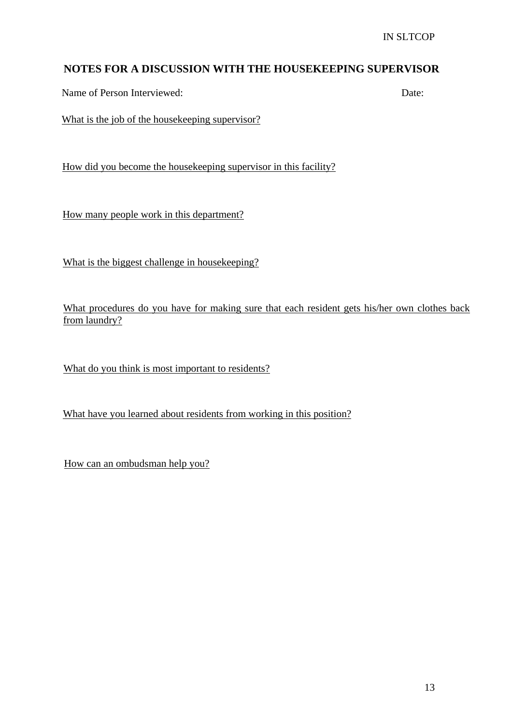## **NOTES FOR A DISCUSSION WITH THE HOUSEKEEPING SUPERVISOR**

Name of Person Interviewed: Date:

What is the job of the housekeeping supervisor?

How did you become the housekeeping supervisor in this facility?

How many people work in this department?

What is the biggest challenge in housekeeping?

What procedures do you have for making sure that each resident gets his/her own clothes back from laundry?

What do you think is most important to residents?

What have you learned about residents from working in this position?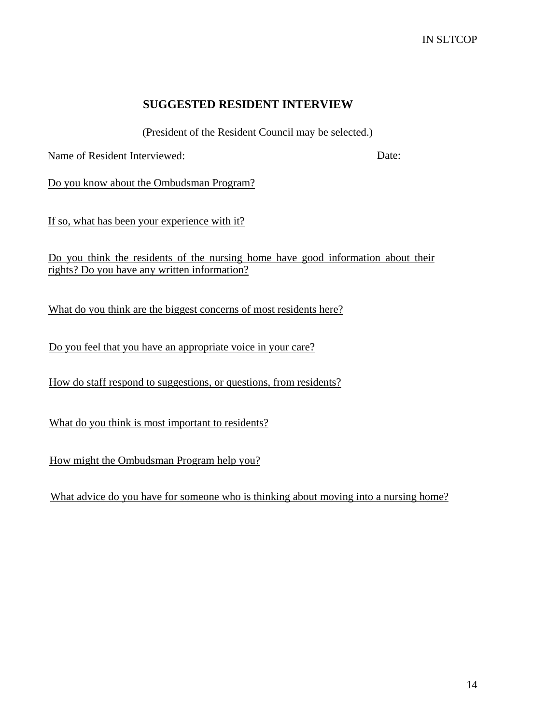### **SUGGESTED RESIDENT INTERVIEW**

(President of the Resident Council may be selected.)

Name of Resident Interviewed: Date: Date:

Do you know about the Ombudsman Program?

If so, what has been your experience with it?

Do you think the residents of the nursing home have good information about their rights? Do you have any written information?

What do you think are the biggest concerns of most residents here?

Do you feel that you have an appropriate voice in your care?

How do staff respond to suggestions, or questions, from residents?

What do you think is most important to residents?

How might the Ombudsman Program help you?

What advice do you have for someone who is thinking about moving into a nursing home?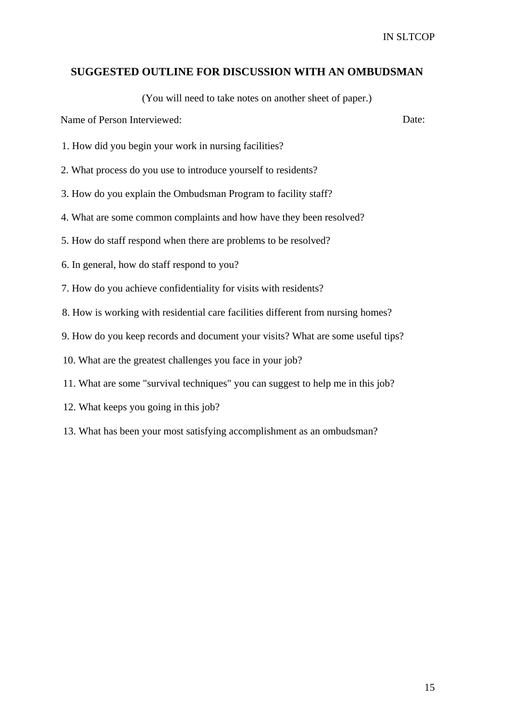#### **SUGGESTED OUTLINE FOR DISCUSSION WITH AN OMBUDSMAN**

(You will need to take notes on another sheet of paper.)

Name of Person Interviewed: Date:

- 1. How did you begin your work in nursing facilities?
- 2. What process do you use to introduce yourself to residents?
- 3. How do you explain the Ombudsman Program to facility staff?
- 4. What are some common complaints and how have they been resolved?
- 5. How do staff respond when there are problems to be resolved?
- 6. In general, how do staff respond to you?
- 7. How do you achieve confidentiality for visits with residents?
- 8. How is working with residential care facilities different from nursing homes?
- 9. How do you keep records and document your visits? What are some useful tips?
- 10. What are the greatest challenges you face in your job?
- 11. What are some "survival techniques" you can suggest to help me in this job?
- 12. What keeps you going in this job?
- 13. What has been your most satisfying accomplishment as an ombudsman?